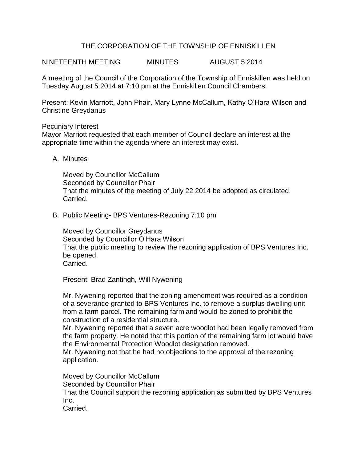# THE CORPORATION OF THE TOWNSHIP OF ENNISKILLEN

NINETEENTH MEETING MINUTES AUGUST 5 2014

A meeting of the Council of the Corporation of the Township of Enniskillen was held on Tuesday August 5 2014 at 7:10 pm at the Enniskillen Council Chambers.

Present: Kevin Marriott, John Phair, Mary Lynne McCallum, Kathy O'Hara Wilson and Christine Greydanus

### Pecuniary Interest

Mayor Marriott requested that each member of Council declare an interest at the appropriate time within the agenda where an interest may exist.

### A. Minutes

Moved by Councillor McCallum Seconded by Councillor Phair That the minutes of the meeting of July 22 2014 be adopted as circulated. Carried.

B. Public Meeting- BPS Ventures-Rezoning 7:10 pm

Moved by Councillor Greydanus Seconded by Councillor O'Hara Wilson That the public meeting to review the rezoning application of BPS Ventures Inc. be opened. Carried.

Present: Brad Zantingh, Will Nywening

Mr. Nywening reported that the zoning amendment was required as a condition of a severance granted to BPS Ventures Inc. to remove a surplus dwelling unit from a farm parcel. The remaining farmland would be zoned to prohibit the construction of a residential structure.

Mr. Nywening reported that a seven acre woodlot had been legally removed from the farm property. He noted that this portion of the remaining farm lot would have the Environmental Protection Woodlot designation removed.

Mr. Nywening not that he had no objections to the approval of the rezoning application.

Moved by Councillor McCallum Seconded by Councillor Phair That the Council support the rezoning application as submitted by BPS Ventures Inc.

Carried.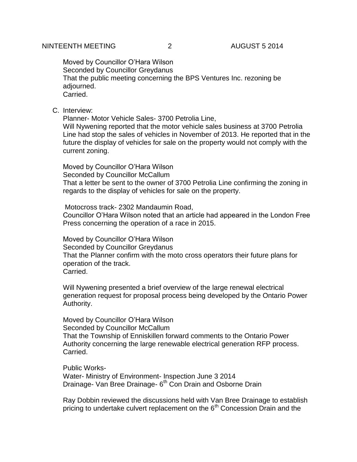Moved by Councillor O'Hara Wilson Seconded by Councillor Greydanus That the public meeting concerning the BPS Ventures Inc. rezoning be adjourned. Carried.

### C. Interview:

Planner- Motor Vehicle Sales- 3700 Petrolia Line,

Will Nywening reported that the motor vehicle sales business at 3700 Petrolia Line had stop the sales of vehicles in November of 2013. He reported that in the future the display of vehicles for sale on the property would not comply with the current zoning.

Moved by Councillor O'Hara Wilson Seconded by Councillor McCallum

That a letter be sent to the owner of 3700 Petrolia Line confirming the zoning in regards to the display of vehicles for sale on the property.

Motocross track- 2302 Mandaumin Road,

Councillor O'Hara Wilson noted that an article had appeared in the London Free Press concerning the operation of a race in 2015.

Moved by Councillor O'Hara Wilson Seconded by Councillor Greydanus That the Planner confirm with the moto cross operators their future plans for operation of the track. Carried.

Will Nywening presented a brief overview of the large renewal electrical generation request for proposal process being developed by the Ontario Power Authority.

Moved by Councillor O'Hara Wilson Seconded by Councillor McCallum That the Township of Enniskillen forward comments to the Ontario Power Authority concerning the large renewable electrical generation RFP process. Carried.

Public Works-Water- Ministry of Environment- Inspection June 3 2014 Drainage- Van Bree Drainage- 6<sup>th</sup> Con Drain and Osborne Drain

Ray Dobbin reviewed the discussions held with Van Bree Drainage to establish pricing to undertake culvert replacement on the  $6<sup>th</sup>$  Concession Drain and the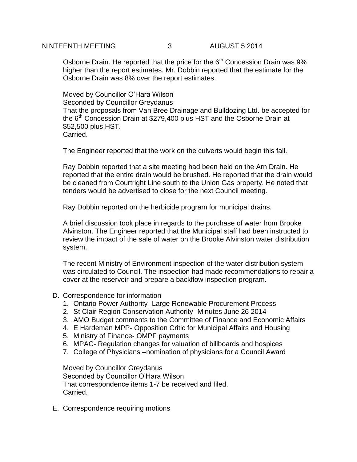Osborne Drain. He reported that the price for the  $6<sup>th</sup>$  Concession Drain was  $9\%$ higher than the report estimates. Mr. Dobbin reported that the estimate for the Osborne Drain was 8% over the report estimates.

Moved by Councillor O'Hara Wilson Seconded by Councillor Greydanus That the proposals from Van Bree Drainage and Bulldozing Ltd. be accepted for the  $6<sup>th</sup>$  Concession Drain at \$279,400 plus HST and the Osborne Drain at \$52,500 plus HST. Carried.

The Engineer reported that the work on the culverts would begin this fall.

Ray Dobbin reported that a site meeting had been held on the Arn Drain. He reported that the entire drain would be brushed. He reported that the drain would be cleaned from Courtright Line south to the Union Gas property. He noted that tenders would be advertised to close for the next Council meeting.

Ray Dobbin reported on the herbicide program for municipal drains.

A brief discussion took place in regards to the purchase of water from Brooke Alvinston. The Engineer reported that the Municipal staff had been instructed to review the impact of the sale of water on the Brooke Alvinston water distribution system.

The recent Ministry of Environment inspection of the water distribution system was circulated to Council. The inspection had made recommendations to repair a cover at the reservoir and prepare a backflow inspection program.

- D. Correspondence for information
	- 1. Ontario Power Authority- Large Renewable Procurement Process
	- 2. St Clair Region Conservation Authority- Minutes June 26 2014
	- 3. AMO Budget comments to the Committee of Finance and Economic Affairs
	- 4. E Hardeman MPP- Opposition Critic for Municipal Affairs and Housing
	- 5. Ministry of Finance- OMPF payments
	- 6. MPAC- Regulation changes for valuation of billboards and hospices
	- 7. College of Physicians –nomination of physicians for a Council Award

Moved by Councillor Greydanus Seconded by Councillor O'Hara Wilson That correspondence items 1-7 be received and filed. Carried.

E. Correspondence requiring motions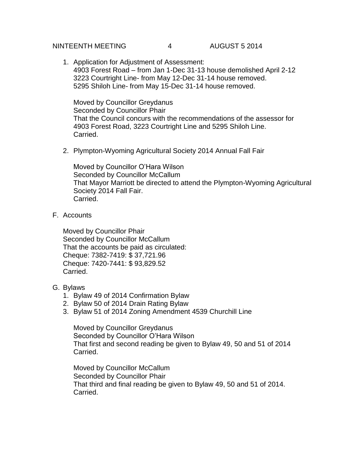### NINTEENTH MEETING  $\begin{array}{ccc} 4 & 4 & 4 \end{array}$  AUGUST 5 2014

1. Application for Adjustment of Assessment: 4903 Forest Road – from Jan 1-Dec 31-13 house demolished April 2-12 3223 Courtright Line- from May 12-Dec 31-14 house removed. 5295 Shiloh Line- from May 15-Dec 31-14 house removed.

Moved by Councillor Greydanus Seconded by Councillor Phair That the Council concurs with the recommendations of the assessor for 4903 Forest Road, 3223 Courtright Line and 5295 Shiloh Line. Carried.

2. Plympton-Wyoming Agricultural Society 2014 Annual Fall Fair

Moved by Councillor O'Hara Wilson Seconded by Councillor McCallum That Mayor Marriott be directed to attend the Plympton-Wyoming Agricultural Society 2014 Fall Fair. Carried.

F. Accounts

Moved by Councillor Phair Seconded by Councillor McCallum That the accounts be paid as circulated: Cheque: 7382-7419: \$ 37,721.96 Cheque: 7420-7441: \$ 93,829.52 Carried.

## G. Bylaws

- 1. Bylaw 49 of 2014 Confirmation Bylaw
- 2. Bylaw 50 of 2014 Drain Rating Bylaw
- 3. Bylaw 51 of 2014 Zoning Amendment 4539 Churchill Line

Moved by Councillor Greydanus Seconded by Councillor O'Hara Wilson That first and second reading be given to Bylaw 49, 50 and 51 of 2014 Carried.

Moved by Councillor McCallum Seconded by Councillor Phair That third and final reading be given to Bylaw 49, 50 and 51 of 2014. Carried.